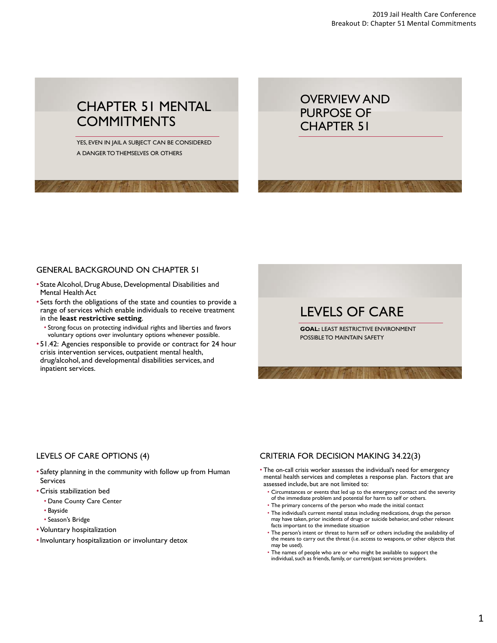# CHAPTER 51 MENTAL **COMMITMENTS**

YES, EVEN IN JAIL A SUBJECT CAN BE CONSIDERED A DANGER TO THEMSELVES OR OTHERS

OVERVIEW AND PURPOSE OF CHAPTER 51

# GENERAL BACKGROUND ON CHAPTER 51

- State Alcohol, Drug Abuse, Developmental Disabilities and Mental Health Act
- Sets forth the obligations of the state and counties to provide a range of services which enable individuals to receive treatment in the **least restrictive setting**.
	- Strong focus on protecting individual rights and liberties and favors voluntary options over involuntary options whenever possible.
- 51.42: Agencies responsible to provide or contract for 24 hour crisis intervention services, outpatient mental health, drug/alcohol, and developmental disabilities services, and inpatient services.

# LEVELS OF CARE

**GOAL: LEAST RESTRICTIVE ENVIRONMENT** POSSIBLE TO MAINTAIN SAFETY

# LEVELS OF CARE OPTIONS (4)

- Safety planning in the community with follow up from Human Services
- Crisis stabilization bed
	- Dane County Care Center
	- Bayside
	- Season's Bridge
- Voluntary hospitalization
- •Involuntary hospitalization or involuntary detox

# CRITERIA FOR DECISION MAKING 34.22(3)

- The on-call crisis worker assesses the individual's need for emergency mental health services and completes a response plan. Factors that are assessed include, but are not limited to:
	- Circumstances or events that led up to the emergency contact and the severity of the immediate problem and potential for harm to self or others.
	- The primary concerns of the person who made the initial contact
	- The individual's current mental status including medications, drugs the person may have taken, prior incidents of drugs or suicide behavior, and other relevant facts important to the immediate situation
	- The person's intent or threat to harm self or others including the availability of the means to carry out the threat (i.e. access to weapons, or other objects that may be used).
	- The names of people who are or who might be available to support the individual, such as friends, family, or current/past services providers.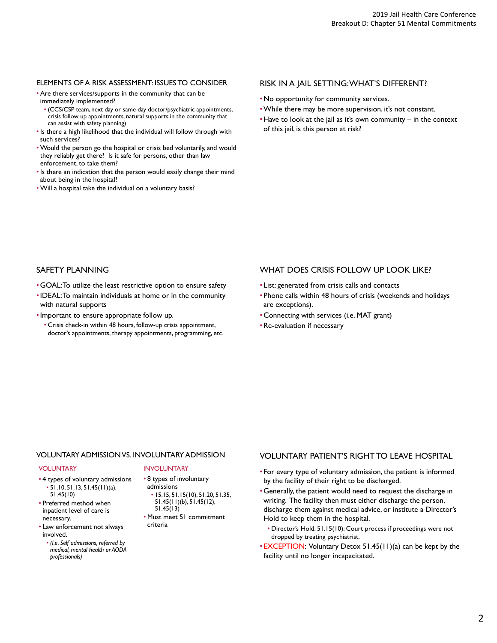#### ELEMENTS OF A RISK ASSESSMENT: ISSUES TO CONSIDER

- Are there services/supports in the community that can be immediately implemented?
	- (CCS/CSP team, next day or same day doctor/psychiatric appointments, crisis follow up appointments, natural supports in the community that can assist with safety planning)
- Is there a high likelihood that the individual will follow through with such services?
- Would the person go the hospital or crisis bed voluntarily, and would they reliably get there? Is it safe for persons, other than law enforcement, to take them?
- Is there an indication that the person would easily change their mind about being in the hospital?
- Will a hospital take the individual on a voluntary basis?

#### RISK IN A JAIL SETTING: WHAT'S DIFFERENT?

- •No opportunity for community services.
- •While there may be more supervision, it's not constant.
- Have to look at the jail as it's own community in the context of this jail, is this person at risk?

# SAFETY PLANNING

- GOAL: To utilize the least restrictive option to ensure safety
- •IDEAL: To maintain individuals at home or in the community with natural supports
- •Important to ensure appropriate follow up.
	- Crisis check-in within 48 hours, follow-up crisis appointment, doctor's appointments, therapy appointments, programming, etc.

#### WHAT DOES CRISIS FOLLOW UP LOOK LIKE?

- List: generated from crisis calls and contacts
- Phone calls within 48 hours of crisis (weekends and holidays are exceptions).
- Connecting with services (i.e. MAT grant)
- Re-evaluation if necessary

# VOLUNTARY ADMISSION VS. INVOLUNTARY ADMISSION

#### VOLUNTARY

- 4 types of voluntary admissions • 51.10, 51.13, 51.45(11)(a), 51.45(10)
- Preferred method when inpatient level of care is necessary.
- Law enforcement not always involved.
	- *(I.e. Self admissions, referred by medical, mental health or AODA professionals)*

#### INVOLUNTARY

# • 8 types of involuntary

- admissions • 15.15, 51.15(10), 51.20, 51.35, 51.45(11)(b), 51.45(12), 51.45(13)
- Must meet 51 commitment criteria

# VOLUNTARY PATIENT'S RIGHT TO LEAVE HOSPITAL

- For every type of voluntary admission, the patient is informed by the facility of their right to be discharged.
- Generally, the patient would need to request the discharge in writing. The facility then must either discharge the person, discharge them against medical advice, or institute a Director's Hold to keep them in the hospital.
	- Director's Hold: 51.15(10): Court process if proceedings were not dropped by treating psychiatrist.
- EXCEPTION: Voluntary Detox 51.45(11)(a) can be kept by the facility until no longer incapacitated.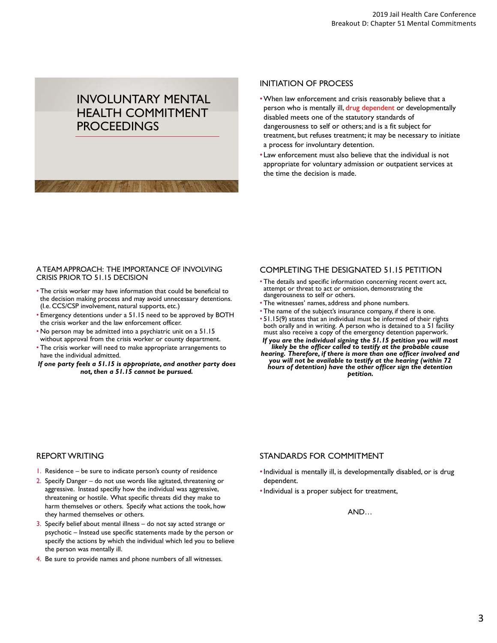# INVOLUNTARY MENTAL HEALTH COMMITMENT **PROCEEDINGS**

## INITIATION OF PROCESS

- •When law enforcement and crisis reasonably believe that a person who is mentally ill, drug dependent or developmentally disabled meets one of the statutory standards of dangerousness to self or others; and is a fit subject for treatment, but refuses treatment; it may be necessary to initiate a process for involuntary detention.
- Law enforcement must also believe that the individual is not appropriate for voluntary admission or outpatient services at the time the decision is made.

#### A TEAM APPROACH: THE IMPORTANCE OF INVOLVING CRISIS PRIOR TO 51.15 DECISION

- The crisis worker may have information that could be beneficial to the decision making process and may avoid unnecessary detentions. (I.e. CCS/CSP involvement, natural supports, etc.)
- Emergency detentions under a 51.15 need to be approved by BOTH the crisis worker and the law enforcement officer.
- No person may be admitted into a psychiatric unit on a 51.15 without approval from the crisis worker or county department.
- The crisis worker will need to make appropriate arrangements to have the individual admitted.
- *If one party feels a 51.15 is appropriate, and another party does not, then a 51.15 cannot be pursued.*

# COMPLETING THE DESIGNATED 51.15 PETITION

- The details and specific information concerning recent overt act, attempt or threat to act or omission, demonstrating the dangerousness to self or others.
- The witnesses' names, address and phone numbers.
- The name of the subject's insurance company, if there is one.
- 51.15(9) states that an individual must be informed of their rights both orally and in writing. A person who is detained to a 51 facility must also receive a copy of the emergency detention paperwork.
- *If you are the individual signing the 51.15 petition you will most likely be the officer called to testify at the probable cause hearing. Therefore, if there is more than one officer involved and*
- *you will not be available to testify at the hearing (within 72 hours of detention) have the other officer sign the detention petition.*

# REPORT WRITING

- 1. Residence be sure to indicate person's county of residence
- 2. Specify Danger do not use words like agitated, threatening or aggressive. Instead specifiy how the individual was aggressive, threatening or hostile. What specific threats did they make to harm themselves or others. Specify what actions the took, how they harmed themselves or others.
- 3. Specify belief about mental illness do not say acted strange or psychotic – Instead use specific statements made by the person or specify the actions by which the individual which led you to believe the person was mentally ill.
- 4. Be sure to provide names and phone numbers of all witnesses.

# STANDARDS FOR COMMITMENT

- •Individual is mentally ill, is developmentally disabled, or is drug dependent.
- •Individual is a proper subject for treatment,

#### AND…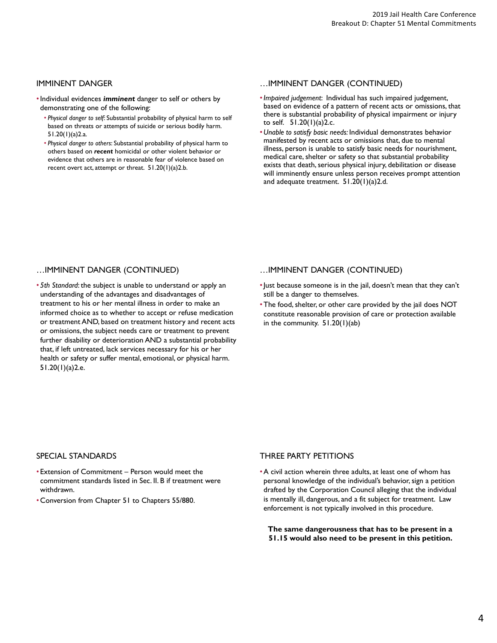# IMMINENT DANGER

- •Individual evidences *imminent* danger to self or others by demonstrating one of the following:
	- *Physical danger to self*: Substantial probability of physical harm to self based on threats or attempts of suicide or serious bodily harm. 51.20(1)(a)2.a.
	- *Physical danger to others*: Substantial probability of physical harm to others based on *recent* homicidal or other violent behavior or evidence that others are in reasonable fear of violence based on recent overt act, attempt or threat. 51.20(1)(a)2.b.

## …IMMINENT DANGER (CONTINUED)

- •*Impaired judgement*: Individual has such impaired judgement, based on evidence of a pattern of recent acts or omissions, that there is substantial probability of physical impairment or injury to self.  $51.20(1)(a)$ 2.c.
- •*Unable to satisfy basic needs:* Individual demonstrates behavior manifested by recent acts or omissions that, due to mental illness, person is unable to satisfy basic needs for nourishment, medical care, shelter or safety so that substantial probability exists that death, serious physical injury, debilitation or disease will imminently ensure unless person receives prompt attention and adequate treatment. 51.20(1)(a)2.d.

# …IMMINENT DANGER (CONTINUED)

• *5th Standard*: the subject is unable to understand or apply an understanding of the advantages and disadvantages of treatment to his or her mental illness in order to make an informed choice as to whether to accept or refuse medication or treatment AND, based on treatment history and recent acts or omissions, the subject needs care or treatment to prevent further disability or deterioration AND a substantial probability that, if left untreated, lack services necessary for his or her health or safety or suffer mental, emotional, or physical harm. 51.20(1)(a)2.e.

# …IMMINENT DANGER (CONTINUED)

- •Just because someone is in the jail, doesn't mean that they can't still be a danger to themselves.
- The food, shelter, or other care provided by the jail does NOT constitute reasonable provision of care or protection available in the community. 51.20(1)(ab)

# SPECIAL STANDARDS

- Extension of Commitment Person would meet the commitment standards listed in Sec. II. B if treatment were withdrawn.
- Conversion from Chapter 51 to Chapters 55/880.

# THREE PARTY PETITIONS

•A civil action wherein three adults, at least one of whom has personal knowledge of the individual's behavior, sign a petition drafted by the Corporation Council alleging that the individual is mentally ill, dangerous, and a fit subject for treatment. Law enforcement is not typically involved in this procedure.

**The same dangerousness that has to be present in a 51.15 would also need to be present in this petition.**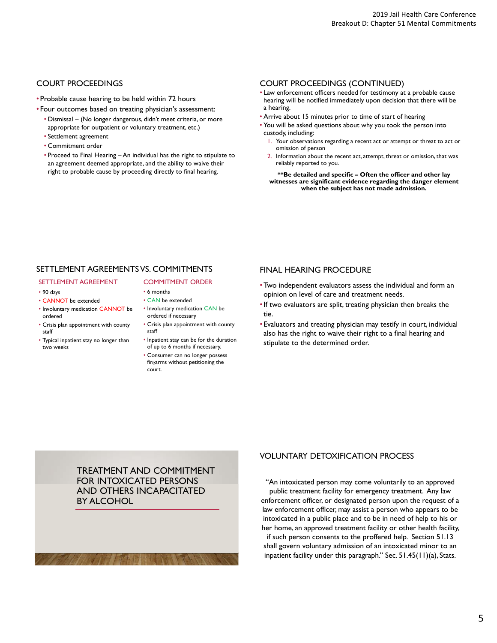# COURT PROCEEDINGS

- Probable cause hearing to be held within 72 hours
- Four outcomes based on treating physician's assessment:
	- Dismissal (No longer dangerous, didn't meet criteria, or more appropriate for outpatient or voluntary treatment, etc.)
	- Settlement agreement
	- Commitment order
	- Proceed to Final Hearing An individual has the right to stipulate to an agreement deemed appropriate, and the ability to waive their right to probable cause by proceeding directly to final hearing.

#### COURT PROCEEDINGS (CONTINUED)

- Law enforcement officers needed for testimony at a probable cause hearing will be notified immediately upon decision that there will be a hearing.
- Arrive about 15 minutes prior to time of start of hearing
- You will be asked questions about why you took the person into custody, including:
	- Your observations regarding a recent act or attempt or threat to act or omission of person
	- 2. Information about the recent act, attempt, threat or omission, that was reliably reported to you.

**\*\*Be detailed and specific – Often the officer and other lay witnesses are significant evidence regarding the danger element when the subject has not made admission.**

# SETTLEMENT AGREEMENTS VS. COMMITMENTS

- SETTLEMENT AGREEMENT
- 90 days
- CANNOT be extended
- Involuntary medication CANNOT be ordered
- Crisis plan appointment with county staff
- Typical inpatient stay no longer than two weeks

# COMMITMENT ORDER

- 6 months
- CAN be extended • Involuntary medication CAN be ordered if necessary
- Crisis plan appointment with county staff
- Inpatient stay can be for the duration of up to 6 months if necessary.
- Consumer can no longer possess firearms without petitioning the court.

# FINAL HEARING PROCEDURE

- Two independent evaluators assess the individual and form an opinion on level of care and treatment needs.
- •If two evaluators are split, treating physician then breaks the tie.
- Evaluators and treating physician may testify in court, individual also has the right to waive their right to a final hearing and stipulate to the determined order.

TREATMENT AND COMMITMENT FOR INTOXICATED PERSONS AND OTHERS INCAPACITATED BY ALCOHOL

# VOLUNTARY DETOXIFICATION PROCESS

"An intoxicated person may come voluntarily to an approved public treatment facility for emergency treatment. Any law enforcement officer, or designated person upon the request of a law enforcement officer, may assist a person who appears to be intoxicated in a public place and to be in need of help to his or her home, an approved treatment facility or other health facility, if such person consents to the proffered help. Section 51.13 shall govern voluntary admission of an intoxicated minor to an inpatient facility under this paragraph." Sec. 51.45(11)(a), Stats.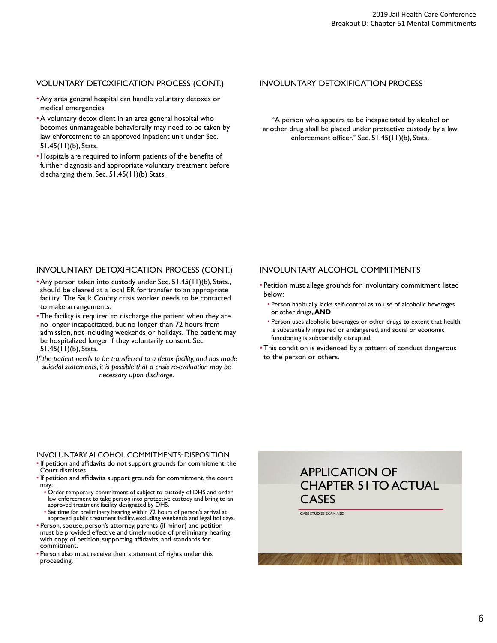# VOLUNTARY DETOXIFICATION PROCESS (CONT.)

- •Any area general hospital can handle voluntary detoxes or medical emergencies.
- •A voluntary detox client in an area general hospital who becomes unmanageable behaviorally may need to be taken by law enforcement to an approved inpatient unit under Sec. 51.45(11)(b), Stats.
- Hospitals are required to inform patients of the benefits of further diagnosis and appropriate voluntary treatment before discharging them. Sec. 51.45(11)(b) Stats.

### INVOLUNTARY DETOXIFICATION PROCESS

"A person who appears to be incapacitated by alcohol or another drug shall be placed under protective custody by a law enforcement officer." Sec. 51.45(11)(b), Stats.

# INVOLUNTARY DETOXIFICATION PROCESS (CONT.)

- •Any person taken into custody under Sec. 51.45(11)(b), Stats., should be cleared at a local ER for transfer to an appropriate facility. The Sauk County crisis worker needs to be contacted to make arrangements.
- The facility is required to discharge the patient when they are no longer incapacitated, but no longer than 72 hours from admission, not including weekends or holidays. The patient may be hospitalized longer if they voluntarily consent. Sec 51.45(11)(b), Stats.

*If the patient needs to be transferred to a detox facility, and has made suicidal statements, it is possible that a crisis re-evaluation may be necessary upon discharge.*

# INVOLUNTARY ALCOHOL COMMITMENTS

- Petition must allege grounds for involuntary commitment listed below:
	- Person habitually lacks self-control as to use of alcoholic beverages or other drugs, **AND**
	- Person uses alcoholic beverages or other drugs to extent that health is substantially impaired or endangered, and social or economic functioning is substantially disrupted.
- This condition is evidenced by a pattern of conduct dangerous to the person or others.

#### INVOLUNTARY ALCOHOL COMMITMENTS: DISPOSITION

- If petition and affidavits do not support grounds for commitment, the Court dismisses
- If petition and affidavits support grounds for commitment, the court may:
	- Order temporary commitment of subject to custody of DHS and order law enforcement to take person into protective custody and bring to an approved treatment facility designated by DHS.
	- Set time for preliminary hearing within 72 hours of person's arrival at approved public treatment facility, excluding weekends and legal holidays.
- Person, spouse, person's attorney, parents (if minor) and petition must be provided effective and timely notice of preliminary hearing, with copy of petition, supporting affidavits, and standards for commitment.
- Person also must receive their statement of rights under this proceeding.

# APPLICATION OF CHAPTER 51 TO ACTUAL CASES

CASE STUDIES EXAMINED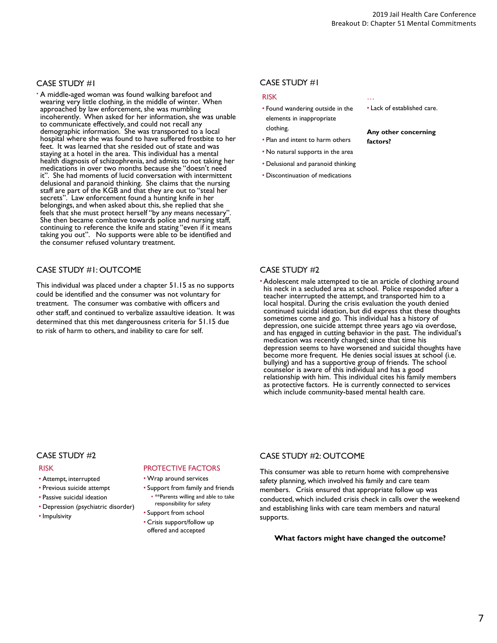### CASE STUDY #1

• A middle-aged woman was found walking barefoot and wearing very little clothing, in the middle of winter. When approached by law enforcement, she was mumbling incoherently. When asked for her information, she was unable to communicate effectively, and could not recall any demographic information. She was transported to a local hospital where she was found to have suffered frostbite to her feet. It was learned that she resided out of state and was staying at a hotel in the area. This individual has a mental health diagnosis of schizophrenia, and admits to not taking her medications in over two months because she "doesn't need it". She had moments of lucid conversation with intermittent delusional and paranoid thinking. She claims that the nursing staff are part of the KGB and that they are out to "steal her secrets". Law enforcement found a hunting knife in her belongings, and when asked about this, she replied that she feels that she must protect herself "by any means necessary". She then became combative towards police and nursing staff, continuing to reference the knife and stating "even if it means taking you out". No supports were able to be identified and the consumer refused voluntary treatment.

# CASE STUDY #1: OUTCOME

This individual was placed under a chapter 51.15 as no supports could be identified and the consumer was not voluntary for treatment. The consumer was combative with officers and other staff, and continued to verbalize assaultive ideation. It was determined that this met dangerousness criteria for 51.15 due to risk of harm to others, and inability to care for self.

# CASE STUDY #1

#### RISK

- Found wandering outside in the elements in inappropriate clothing.
- Plan and intent to harm others
- No natural supports in the area
- Delusional and paranoid thinking
- Discontinuation of medications
- … • Lack of established care.

**Any other concerning factors?**

#### CASE STUDY #2

• Adolescent male attempted to tie an article of clothing around his neck in a secluded area at school. Police responded after a teacher interrupted the attempt, and transported him to a local hospital. During the crisis evaluation the youth denied continued suicidal ideation, but did express that these thoughts sometimes come and go. This individual has a history of depression, one suicide attempt three years ago via overdose, and has engaged in cutting behavior in the past. The individual's medication was recently changed; since that time his depression seems to have worsened and suicidal thoughts have become more frequent. He denies social issues at school (i.e. bullying) and has a supportive group of friends. The school counselor is aware of this individual and has a good relationship with him. This individual cites his family members as protective factors. He is currently connected to services which include community-based mental health care.

#### CASE STUDY #2

#### RISK

- Attempt, interrupted
- Previous suicide attempt
- Passive suicidal ideation
- Depression (psychiatric disorder)
- Impulsivity

# PROTECTIVE FACTORS

#### • Wrap around services

- Support from family and friends • \*\*Parents willing and able to take
- responsibility for safety
- Support from school • Crisis support/follow up
- offered and accepted

# CASE STUDY #2: OUTCOME

This consumer was able to return home with comprehensive safety planning, which involved his family and care team members. Crisis ensured that appropriate follow up was conducted, which included crisis check in calls over the weekend and establishing links with care team members and natural supports.

#### **What factors might have changed the outcome?**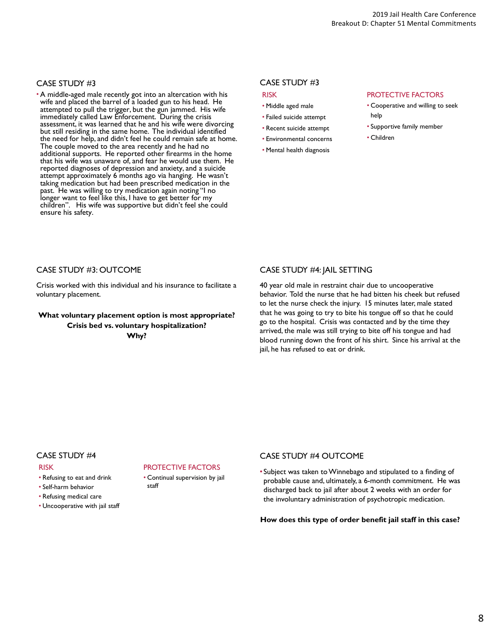### CASE STUDY #3

• A middle-aged male recently got into an altercation with his wife and placed the barrel of a loaded gun to his head. He attempted to pull the trigger, but the gun jammed. His wife immediately called Law Enforcement. During the crisis assessment, it was learned that he and his wife were divorcing but still residing in the same home. The individual identified the need for help, and didn't feel he could remain safe at home. The couple moved to the area recently and he had no additional supports. He reported other firearms in the home that his wife was unaware of, and fear he would use them. He reported diagnoses of depression and anxiety, and a suicide attempt approximately 6 months ago via hanging. He wasn't taking medication but had been prescribed medication in the past. He was willing to try medication again noting "I no longer want to feel like this, I have to get better for my children". His wife was supportive but didn't feel she could ensure his safety.

#### CASE STUDY #3 RISK

- Middle aged male
- Failed suicide attempt
- Recent suicide attempt
- Environmental concerns
- Mental health diagnosis

#### PROTECTIVE FACTORS

- Cooperative and willing to seek help
- Supportive family member
- Children

# CASE STUDY #3: OUTCOME

Crisis worked with this individual and his insurance to facilitate a voluntary placement.

# **What voluntary placement option is most appropriate? Crisis bed vs. voluntary hospitalization? Why?**

# CASE STUDY #4: JAIL SETTING

40 year old male in restraint chair due to uncooperative behavior. Told the nurse that he had bitten his cheek but refused to let the nurse check the injury. 15 minutes later, male stated that he was going to try to bite his tongue off so that he could go to the hospital. Crisis was contacted and by the time they arrived, the male was still trying to bite off his tongue and had blood running down the front of his shirt. Since his arrival at the jail, he has refused to eat or drink.

#### CASE STUDY #4

#### RISK

- Refusing to eat and drink
- Self-harm behavior
- Refusing medical care
- Uncooperative with jail staff

# PROTECTIVE FACTORS

• Continual supervision by jail staff

#### CASE STUDY #4 OUTCOME

• Subject was taken to Winnebago and stipulated to a finding of probable cause and, ultimately, a 6-month commitment. He was discharged back to jail after about 2 weeks with an order for the involuntary administration of psychotropic medication.

#### **How does this type of order benefit jail staff in this case?**